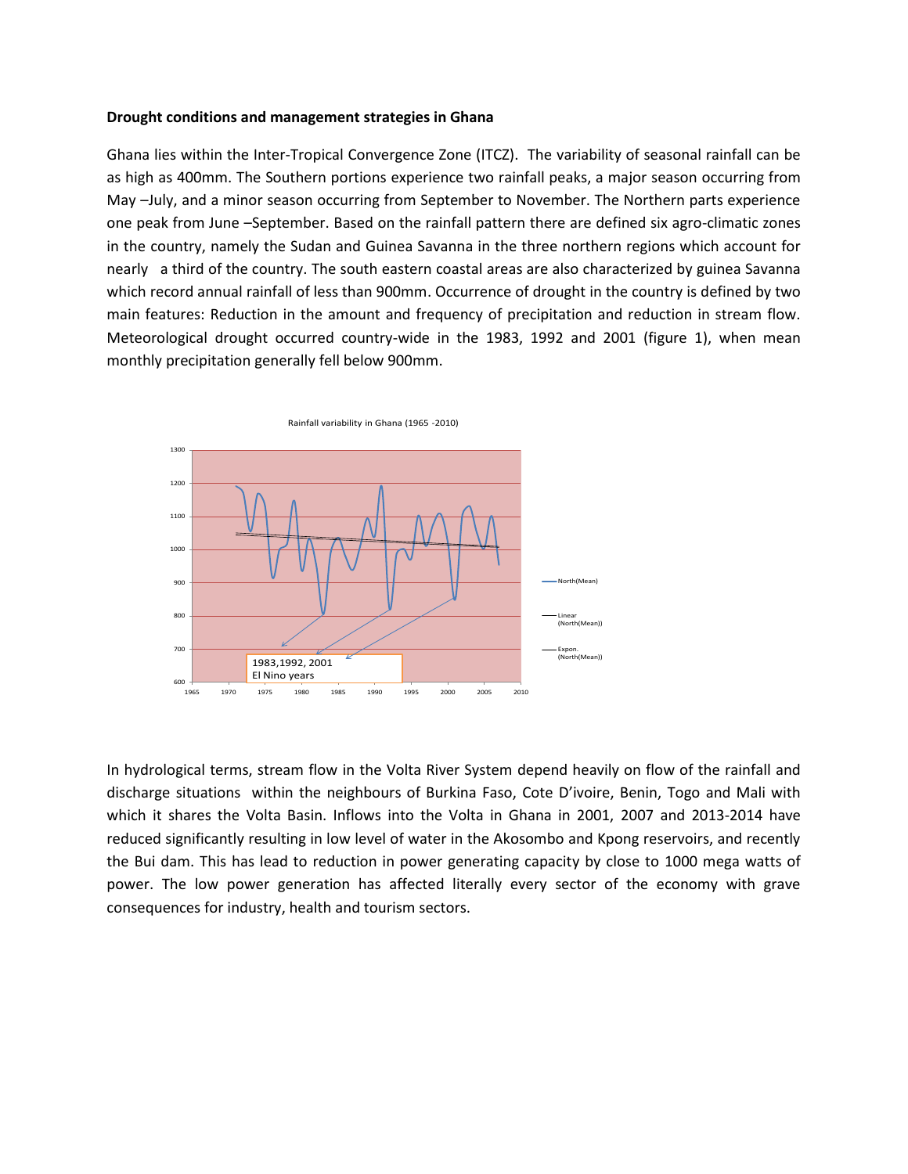#### **Drought conditions and management strategies in Ghana**

Ghana lies within the Inter-Tropical Convergence Zone (ITCZ). The variability of seasonal rainfall can be as high as 400mm. The Southern portions experience two rainfall peaks, a major season occurring from May –July, and a minor season occurring from September to November. The Northern parts experience one peak from June –September. Based on the rainfall pattern there are defined six agro-climatic zones in the country, namely the Sudan and Guinea Savanna in the three northern regions which account for nearly a third of the country. The south eastern coastal areas are also characterized by guinea Savanna which record annual rainfall of less than 900mm. Occurrence of drought in the country is defined by two main features: Reduction in the amount and frequency of precipitation and reduction in stream flow. Meteorological drought occurred country-wide in the 1983, 1992 and 2001 (figure 1), when mean monthly precipitation generally fell below 900mm.



In hydrological terms, stream flow in the Volta River System depend heavily on flow of the rainfall and discharge situations within the neighbours of Burkina Faso, Cote D'ivoire, Benin, Togo and Mali with which it shares the Volta Basin. Inflows into the Volta in Ghana in 2001, 2007 and 2013-2014 have reduced significantly resulting in low level of water in the Akosombo and Kpong reservoirs, and recently the Bui dam. This has lead to reduction in power generating capacity by close to 1000 mega watts of power. The low power generation has affected literally every sector of the economy with grave consequences for industry, health and tourism sectors.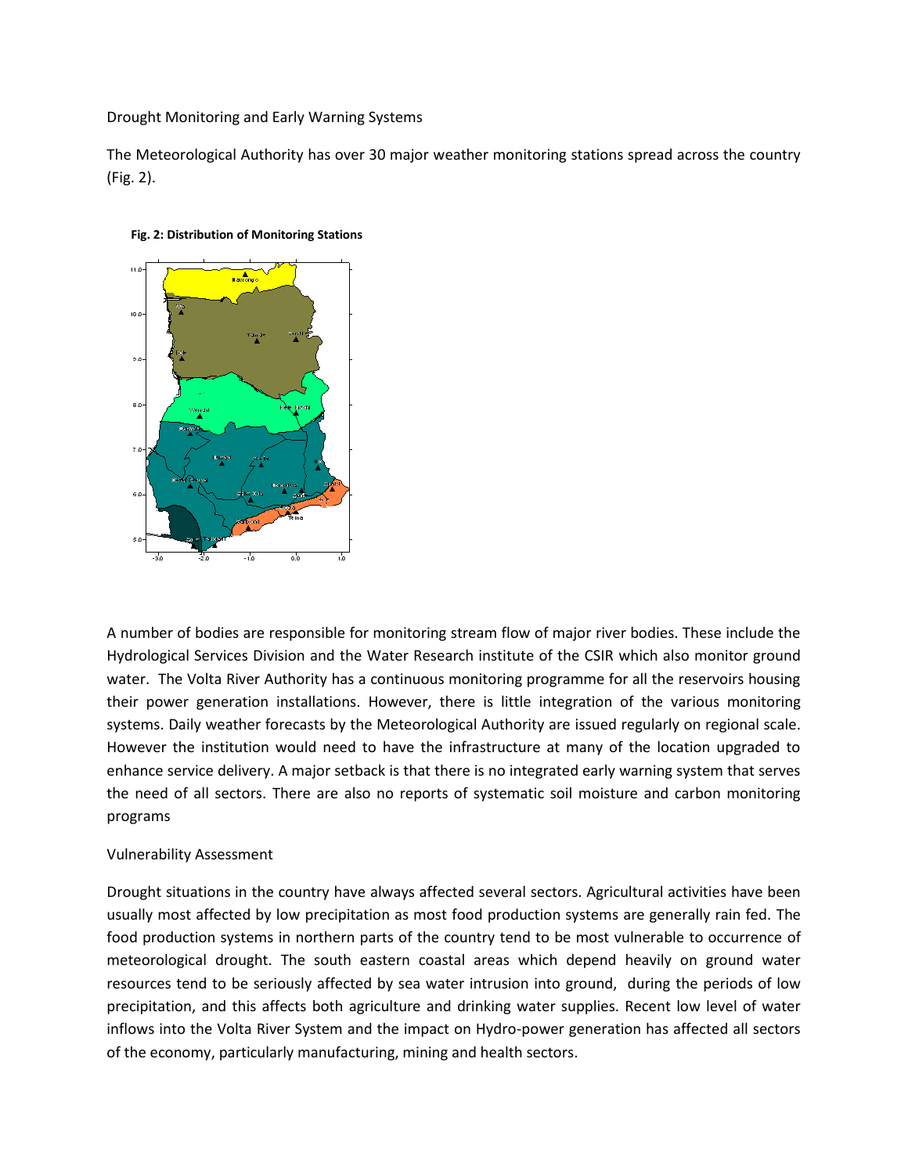Drought Monitoring and Early Warning Systems

The Meteorological Authority has over 30 major weather monitoring stations spread across the country (Fig. 2).



#### **Fig. 2: Distribution of Monitoring Stations**

A number of bodies are responsible for monitoring stream flow of major river bodies. These include the Hydrological Services Division and the Water Research institute of the CSIR which also monitor ground water. The Volta River Authority has a continuous monitoring programme for all the reservoirs housing their power generation installations. However, there is little integration of the various monitoring systems. Daily weather forecasts by the Meteorological Authority are issued regularly on regional scale. However the institution would need to have the infrastructure at many of the location upgraded to enhance service delivery. A major setback is that there is no integrated early warning system that serves the need of all sectors. There are also no reports of systematic soil moisture and carbon monitoring programs

# Vulnerability Assessment

Drought situations in the country have always affected several sectors. Agricultural activities have been usually most affected by low precipitation as most food production systems are generally rain fed. The food production systems in northern parts of the country tend to be most vulnerable to occurrence of meteorological drought. The south eastern coastal areas which depend heavily on ground water resources tend to be seriously affected by sea water intrusion into ground, during the periods of low precipitation, and this affects both agriculture and drinking water supplies. Recent low level of water inflows into the Volta River System and the impact on Hydro-power generation has affected all sectors of the economy, particularly manufacturing, mining and health sectors.